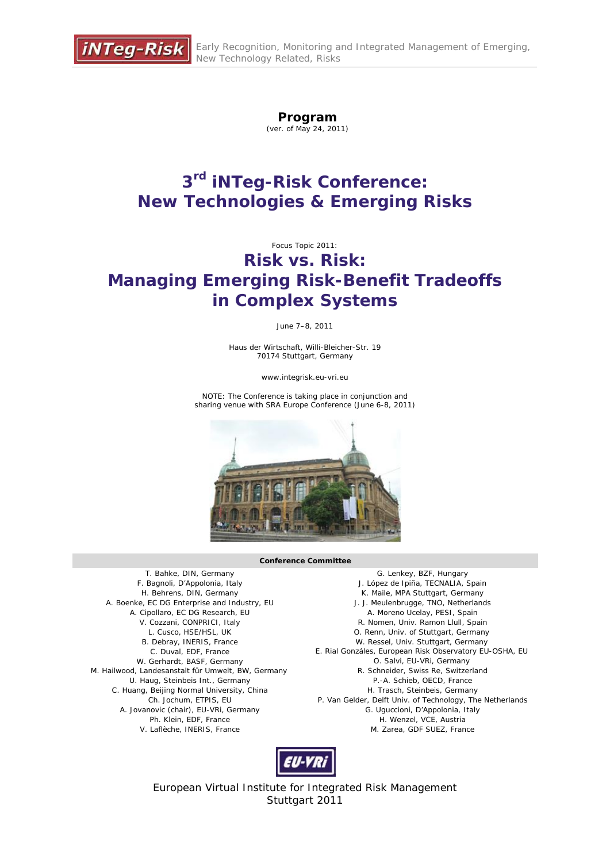

# **Program**

(ver. of May 24, 2011)

# **3rd iNTeg-Risk Conference: New Technologies & Emerging Risks**

Focus Topic 2011:

# **Risk vs. Risk: Managing Emerging Risk-Benefit Tradeoffs in Complex Systems**

June 7–8, 2011

Haus der Wirtschaft, Willi-Bleicher-Str. 19 70174 Stuttgart, Germany

www.integrisk.eu-vri.eu

NOTE: The Conference is taking place in conjunction and sharing venue with SRA Europe Conference (June 6-8, 2011)



#### **Conference Committee**

T. Bahke, DIN, Germany F. Bagnoli, D'Appolonia, Italy H. Behrens, DIN, Germany A. Boenke, EC DG Enterprise and Industry, EU A. Cipollaro, EC DG Research, EU V. Cozzani, CONPRICI, Italy L. Cusco, HSE/HSL, UK B. Debray, INERIS, France C. Duval, EDF, France W. Gerhardt, BASF, Germany M. Hailwood, Landesanstalt für Umwelt, BW, Germany U. Haug, Steinbeis Int., Germany C. Huang, Beijing Normal University, China Ch. Jochum, ETPIS, EU A. Jovanovic (chair), EU-VRi, Germany Ph. Klein, EDF, France V. Laflèche, INERIS, France

G. Lenkey, BZF, Hungary J. López de Ipiña, TECNALIA, Spain K. Maile, MPA Stuttgart, Germany J. J. Meulenbrugge, TNO, Netherlands A. Moreno Ucelay, PESI, Spain R. Nomen, Univ. Ramon Llull, Spain O. Renn, Univ. of Stuttgart, Germany W. Ressel, Univ. Stuttgart, Germany E. Rial Gonzáles, European Risk Observatory EU-OSHA, EU O. Salvi, EU-VRi, Germany R. Schneider, Swiss Re, Switzerland P.-A. Schieb, OECD, France H. Trasch, Steinbeis, Germany P. Van Gelder, Delft Univ. of Technology, The Netherlands G. Uguccioni, D'Appolonia, Italy H. Wenzel, VCE, Austria M. Zarea, GDF SUEZ, France



European Virtual Institute for Integrated Risk Management Stuttgart 2011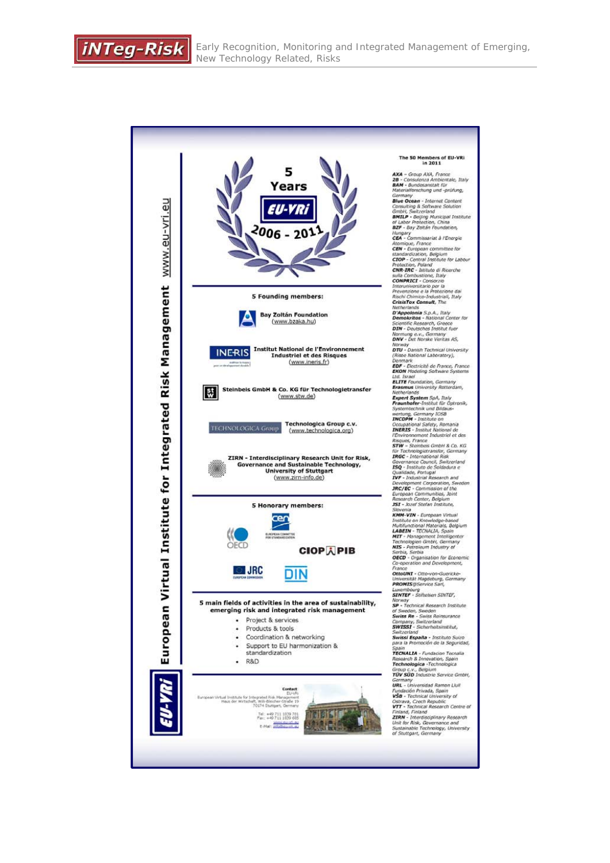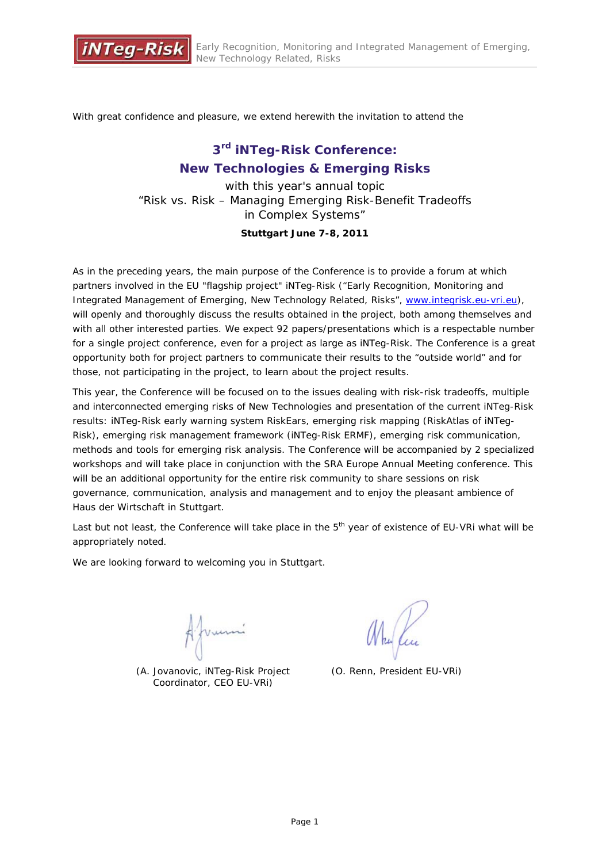

With great confidence and pleasure, we extend herewith the invitation to attend the

## **3rd iNTeg-Risk Conference: New Technologies & Emerging Risks**

with this year's annual topic "Risk vs. Risk – Managing Emerging Risk-Benefit Tradeoffs in Complex Systems"

### **Stuttgart June 7-8, 2011**

As in the preceding years, the main purpose of the Conference is to provide a forum at which partners involved in the EU "flagship project" iNTeg-Risk ("Early Recognition, Monitoring and Integrated Management of Emerging, New Technology Related, Risks", www.integrisk.eu-vri.eu), will openly and thoroughly discuss the results obtained in the project, both among themselves and with all other interested parties. We expect 92 papers/presentations which is a respectable number for a single project conference, even for a project as large as iNTeg-Risk. The Conference is a great opportunity both for project partners to communicate their results to the "outside world" and for those, not participating in the project, to learn about the project results.

This year, the Conference will be focused on to the issues dealing with risk-risk tradeoffs, multiple and interconnected emerging risks of New Technologies and presentation of the current iNTeg-Risk results: iNTeg-Risk early warning system RiskEars, emerging risk mapping (RiskAtlas of iNTeg-Risk), emerging risk management framework (iNTeg-Risk ERMF), emerging risk communication, methods and tools for emerging risk analysis. The Conference will be accompanied by 2 specialized workshops and will take place in conjunction with the SRA Europe Annual Meeting conference. This will be an additional opportunity for the entire risk community to share sessions on risk governance, communication, analysis and management and to enjoy the pleasant ambience of Haus der Wirtschaft in Stuttgart.

Last but not least, the Conference will take place in the 5<sup>th</sup> year of existence of EU-VRi what will be appropriately noted.

We are looking forward to welcoming you in Stuttgart.

Ajumi

*(A. Jovanovic, iNTeg-Risk Project Coordinator, CEO EU-VRi)*

*(O. Renn, President EU-VRi)*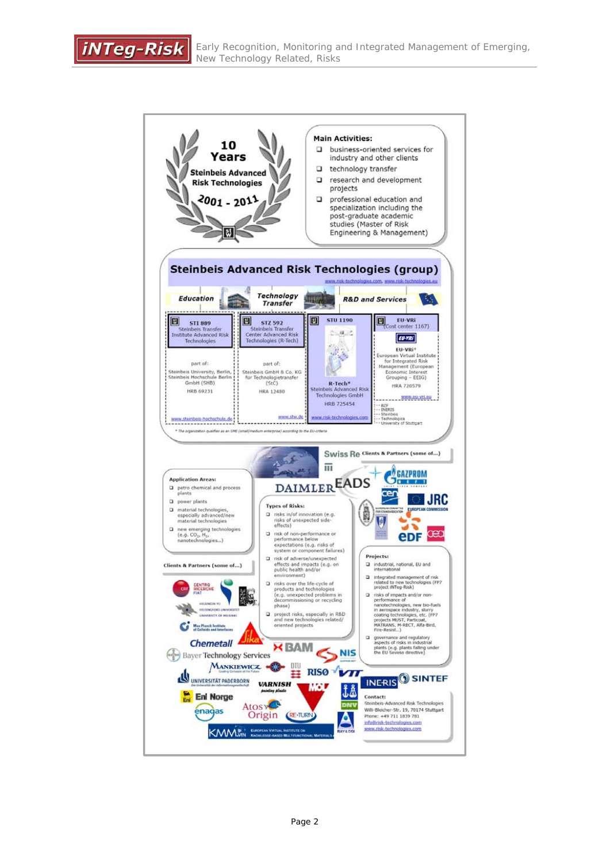**iNTeg-Risk** 

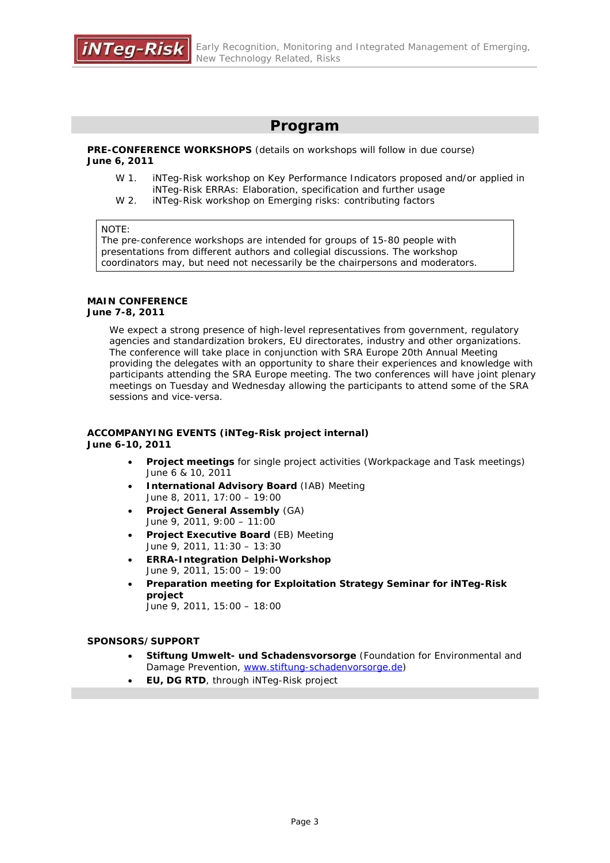## **Program**

**PRE-CONFERENCE WORKSHOPS** (details on workshops will follow in due course) **June 6, 2011**

- W 1. iNTeg-Risk workshop on Key Performance Indicators proposed and/or applied in iNTeg-Risk ERRAs: Elaboration, specification and further usage
- W 2. iNTeg-Risk workshop on Emerging risks: contributing factors

#### NOTE:

The pre-conference workshops are intended for groups of 15-80 people with presentations from different authors and collegial discussions. The workshop coordinators may, but need not necessarily be the chairpersons and moderators.

#### **MAIN CONFERENCE**

### **June 7-8, 2011**

We expect a strong presence of high-level representatives from government, regulatory agencies and standardization brokers, EU directorates, industry and other organizations. The conference will take place in conjunction with SRA Europe 20th Annual Meeting providing the delegates with an opportunity to share their experiences and knowledge with participants attending the SRA Europe meeting. The two conferences will have joint plenary meetings on Tuesday and Wednesday allowing the participants to attend some of the SRA sessions and vice-versa.

#### **ACCOMPANYING EVENTS (iNTeg-Risk project internal) June 6-10, 2011**

- **Project meetings** for single project activities (Workpackage and Task meetings) June 6 & 10, 2011
- **International Advisory Board** (IAB) Meeting June 8, 2011, 17:00 – 19:00
- **Project General Assembly** (GA) June 9, 2011, 9:00 – 11:00
- **Project Executive Board** (EB) Meeting June 9, 2011, 11:30 – 13:30
- **ERRA-Integration Delphi-Workshop** June 9, 2011, 15:00 – 19:00
- **Preparation meeting for Exploitation Strategy Seminar for iNTeg-Risk project**  June 9, 2011, 15:00 – 18:00

#### **SPONSORS/SUPPORT**

- **Stiftung Umwelt- und Schadensvorsorge** (Foundation for Environmental and Damage Prevention, www.stiftung-schadenvorsorge.de)
- **EU, DG RTD**, through iNTeg-Risk project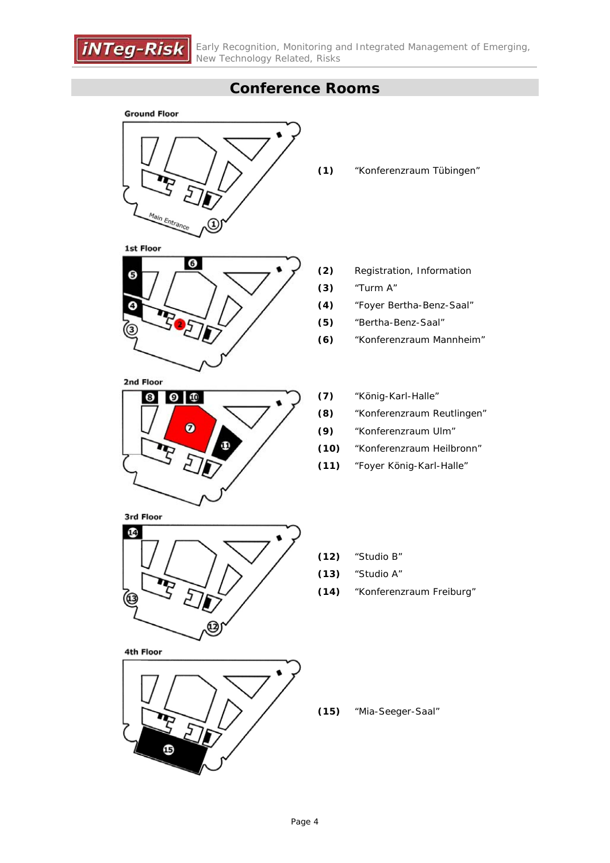

## **Conference Rooms**

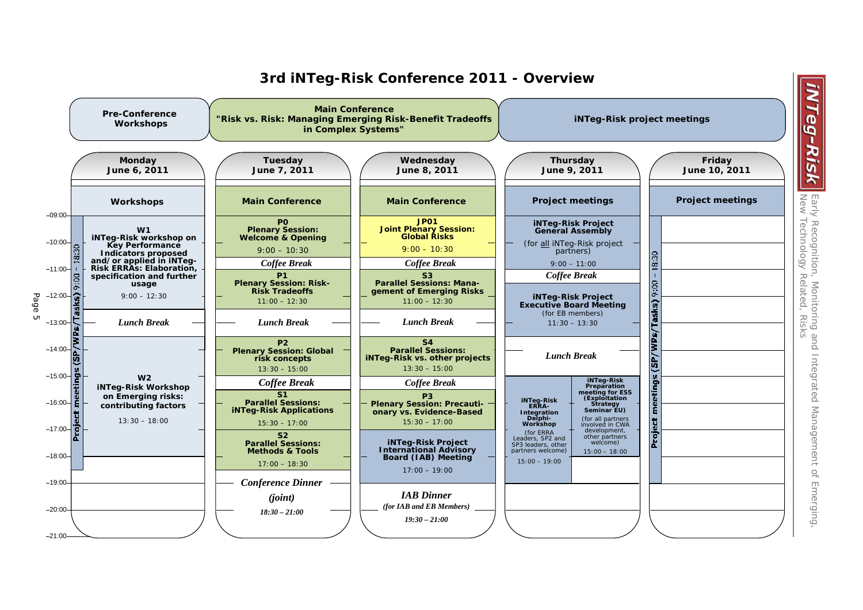

## **3rd iNTeg-Risk Conference 2011 - Overview**

2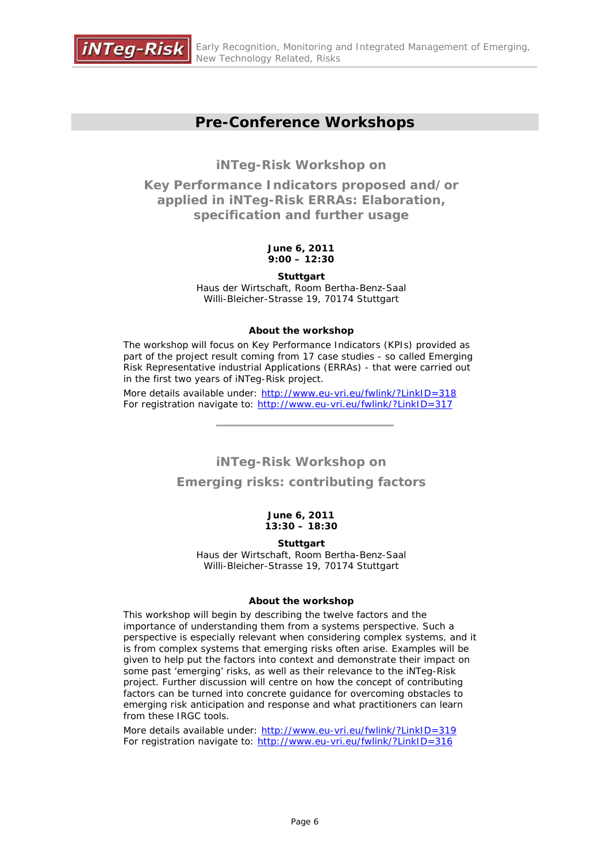

## **Pre-Conference Workshops**

**iNTeg-Risk Workshop on** 

**Key Performance Indicators proposed and/or applied in iNTeg-Risk ERRAs: Elaboration, specification and further usage**

### **June 6, 2011 9:00 – 12:30**

**Stuttgart**  Haus der Wirtschaft, Room Bertha-Benz-Saal Willi-Bleicher-Strasse 19, 70174 Stuttgart

### **About the workshop**

The workshop will focus on Key Performance Indicators (KPIs) provided as part of the project result coming from 17 case studies - so called Emerging Risk Representative industrial Applications (ERRAs) - that were carried out in the first two years of iNTeg-Risk project.

More details available under: http://www.eu-vri.eu/fwlink/?LinkID=318 For registration navigate to: http://www.eu-vri.eu/fwlink/?LinkID=317

## **iNTeg-Risk Workshop on**

## **Emerging risks: contributing factors**

#### **June 6, 2011 13:30 – 18:30**

### **Stuttgart**

Haus der Wirtschaft, Room Bertha-Benz-Saal Willi-Bleicher-Strasse 19, 70174 Stuttgart

### **About the workshop**

This workshop will begin by describing the twelve factors and the importance of understanding them from a systems perspective. Such a perspective is especially relevant when considering complex systems, and it is from complex systems that emerging risks often arise. Examples will be given to help put the factors into context and demonstrate their impact on some past 'emerging' risks, as well as their relevance to the iNTeg-Risk project. Further discussion will centre on how the concept of contributing factors can be turned into concrete guidance for overcoming obstacles to emerging risk anticipation and response and what practitioners can learn from these IRGC tools.

More details available under: http://www.eu-vri.eu/fwlink/?LinkID=319 For registration navigate to: http://www.eu-vri.eu/fwlink/?LinkID=316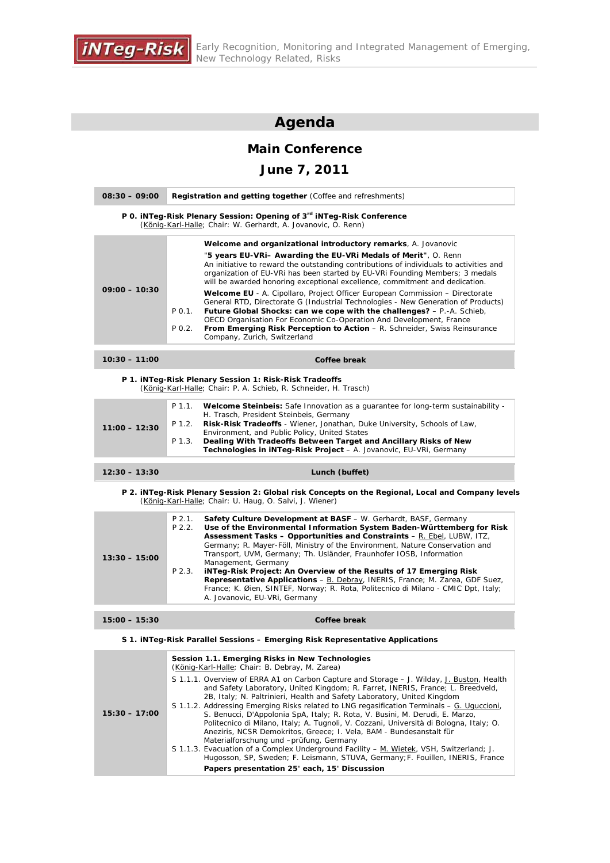

## **Agenda**

## **Main Conference**

## **June 7, 2011**

| $08:30 - 09:00$ | <b>Registration and getting together (Coffee and refreshments)</b>                                                                                                                                                                                                                                                                                                                                                                    |
|-----------------|---------------------------------------------------------------------------------------------------------------------------------------------------------------------------------------------------------------------------------------------------------------------------------------------------------------------------------------------------------------------------------------------------------------------------------------|
|                 | P 0. iNTeg-Risk Plenary Session: Opening of 3 <sup>rd</sup> iNTeg-Risk Conference<br>(König-Karl-Halle; Chair: W. Gerhardt, A. Jovanovic, O. Renn)                                                                                                                                                                                                                                                                                    |
|                 | <b>Welcome and organizational introductory remarks</b> , A. Jovanovic                                                                                                                                                                                                                                                                                                                                                                 |
|                 | "5 years EU-VRi- Awarding the EU-VRi Medals of Merit", O. Renn<br>An initiative to reward the outstanding contributions of individuals to activities and<br>organization of EU-VRi has been started by EU-VRi Founding Members; 3 medals<br>will be awarded honoring exceptional excellence, commitment and dedication.                                                                                                               |
| $09:00 - 10:30$ | Welcome EU - A. Cipollaro, Project Officer European Commission - Directorate<br>General RTD, Directorate G (Industrial Technologies - New Generation of Products)<br>Future Global Shocks: can we cope with the challenges? - P.-A. Schieb,<br>P 0.1.<br>OECD Organisation For Economic Co-Operation And Development, France<br>From Emerging Risk Perception to Action - R. Schneider, Swiss Reinsurance<br>P 0.2.                   |
|                 | Company, Zurich, Switzerland                                                                                                                                                                                                                                                                                                                                                                                                          |
| $10:30 - 11:00$ | Coffee break                                                                                                                                                                                                                                                                                                                                                                                                                          |
|                 | P 1. iNTeg-Risk Plenary Session 1: Risk-Risk Tradeoffs<br>(König-Karl-Halle; Chair: P. A. Schieb, R. Schneider, H. Trasch)                                                                                                                                                                                                                                                                                                            |
| $11:00 - 12:30$ | P 1.1.<br>Welcome Steinbeis: Safe Innovation as a guarantee for long-term sustainability -<br>H. Trasch, President Steinbeis, Germany<br>Risk-Risk Tradeoffs - Wiener, Jonathan, Duke University, Schools of Law,<br>P 1.2.<br>Environment, and Public Policy, United States                                                                                                                                                          |
|                 | Dealing With Tradeoffs Between Target and Ancillary Risks of New<br>P 1.3.<br>Technologies in iNTeg-Risk Project - A. Jovanovic, EU-VRi, Germany                                                                                                                                                                                                                                                                                      |
| $12:30 - 13:30$ | Lunch (buffet)                                                                                                                                                                                                                                                                                                                                                                                                                        |
|                 | P 2. iNTeg-Risk Plenary Session 2: Global risk Concepts on the Regional, Local and Company levels<br>(König-Karl-Halle; Chair: U. Haug, O. Salvi, J. Wiener)                                                                                                                                                                                                                                                                          |
| $13:30 - 15:00$ | $P$ 2.1.<br>Safety Culture Development at BASF - W. Gerhardt, BASF, Germany<br>$P$ 2.2.<br>Use of the Environmental Information System Baden-Württemberg for Risk<br><b>Assessment Tasks - Opportunities and Constraints</b> - $R$ . Ebel, LUBW, ITZ,<br>Germany; R. Mayer-Föll, Ministry of the Environment, Nature Conservation and<br>Transport, UVM, Germany; Th. Usländer, Fraunhofer IOSB, Information                          |
|                 | Management, Germany<br>iNTeg-Risk Project: An Overview of the Results of 17 Emerging Risk<br>P 2.3.<br><b>Representative Applications - B. Debray, INERIS, France; M. Zarea, GDF Suez,</b><br>France; K. Øien, SINTEF, Norway; R. Rota, Politecnico di Milano - CMIC Dpt, Italy;<br>A. Jovanovic, EU-VRi, Germany                                                                                                                     |
| $15:00 - 15:30$ | Coffee break                                                                                                                                                                                                                                                                                                                                                                                                                          |
|                 | S 1. INTeg-Risk Parallel Sessions – Emerging Risk Representative Applications                                                                                                                                                                                                                                                                                                                                                         |
|                 | Session 1.1. Emerging Risks in New Technologies<br>(König-Karl-Halle; Chair: B. Debray, M. Zarea)                                                                                                                                                                                                                                                                                                                                     |
| $15:30 - 17:00$ | S 1.1.1. Overview of ERRA A1 on Carbon Capture and Storage - J. Wilday, J. Buston, Health<br>and Safety Laboratory, United Kingdom; R. Farret, INERIS, France; L. Breedveld,<br>2B, Italy; N. Paltrinieri, Health and Safety Laboratory, United Kingdom<br>S 1.1.2. Addressing Emerging Risks related to LNG regasification Terminals – G. Uguccioni,<br>S. Benucci, D'Appolonia SpA, Italy; R. Rota, V. Busini, M. Derudi, E. Marzo, |

Politecnico di Milano, Italy; A. Tugnoli, V. Cozzani, Università di Bologna, Italy; O. Aneziris, NCSR Demokritos, Greece; I. Vela, BAM - Bundesanstalt für Materialforschung und –prüfung, Germany S 1.1.3. Evacuation of a Complex Underground Facility – M. Wietek, VSH, Switzerland; J. Hugosson, SP, Sweden; F. Leismann, STUVA, Germany;F. Fouillen, INERIS, France **Papers presentation 25' each, 15' Discussion**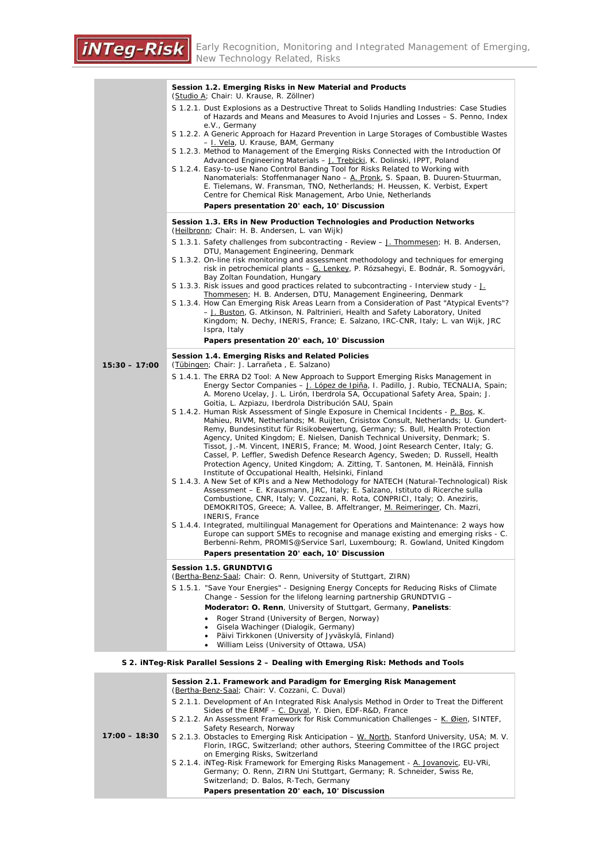÷,

|                 | Session 1.2. Emerging Risks in New Material and Products<br>(Studio A; Chair: U. Krause, R. Zöllner)                                                                                                                                                                                                                                                                                                                                                                                                                                                                                                                                                                                                                                                                                                                                        |  |  |
|-----------------|---------------------------------------------------------------------------------------------------------------------------------------------------------------------------------------------------------------------------------------------------------------------------------------------------------------------------------------------------------------------------------------------------------------------------------------------------------------------------------------------------------------------------------------------------------------------------------------------------------------------------------------------------------------------------------------------------------------------------------------------------------------------------------------------------------------------------------------------|--|--|
|                 | S 1.2.1. Dust Explosions as a Destructive Threat to Solids Handling Industries: Case Studies<br>of Hazards and Means and Measures to Avoid Injuries and Losses - S. Penno, Index                                                                                                                                                                                                                                                                                                                                                                                                                                                                                                                                                                                                                                                            |  |  |
|                 | e.V., Germany<br>S 1.2.2. A Generic Approach for Hazard Prevention in Large Storages of Combustible Wastes                                                                                                                                                                                                                                                                                                                                                                                                                                                                                                                                                                                                                                                                                                                                  |  |  |
|                 | - I. Vela, U. Krause, BAM, Germany<br>S 1.2.3. Method to Management of the Emerging Risks Connected with the Introduction Of                                                                                                                                                                                                                                                                                                                                                                                                                                                                                                                                                                                                                                                                                                                |  |  |
|                 | Advanced Engineering Materials - J. Trebicki, K. Dolinski, IPPT, Poland<br>S 1.2.4. Easy-to-use Nano Control Banding Tool for Risks Related to Working with<br>Nanomaterials: Stoffenmanager Nano - A. Pronk, S. Spaan, B. Duuren-Stuurman,<br>E. Tielemans, W. Fransman, TNO, Netherlands; H. Heussen, K. Verbist, Expert<br>Centre for Chemical Risk Management, Arbo Unie, Netherlands                                                                                                                                                                                                                                                                                                                                                                                                                                                   |  |  |
|                 | Papers presentation 20' each, 10' Discussion                                                                                                                                                                                                                                                                                                                                                                                                                                                                                                                                                                                                                                                                                                                                                                                                |  |  |
|                 | Session 1.3. ERs in New Production Technologies and Production Networks<br>(Heilbronn; Chair: H. B. Andersen, L. van Wijk)                                                                                                                                                                                                                                                                                                                                                                                                                                                                                                                                                                                                                                                                                                                  |  |  |
|                 | S 1.3.1. Safety challenges from subcontracting - Review – J. Thommesen; H. B. Andersen,<br>DTU, Management Engineering, Denmark                                                                                                                                                                                                                                                                                                                                                                                                                                                                                                                                                                                                                                                                                                             |  |  |
|                 | S 1.3.2. On-line risk monitoring and assessment methodology and techniques for emerging<br>risk in petrochemical plants – G. Lenkey, P. Rózsahegyi, E. Bodnár, R. Somogyvári,<br>Bay Zoltan Foundation, Hungary                                                                                                                                                                                                                                                                                                                                                                                                                                                                                                                                                                                                                             |  |  |
|                 | S 1.3.3. Risk issues and good practices related to subcontracting - Interview study - J.<br>Thommesen; H. B. Andersen, DTU, Management Engineering, Denmark                                                                                                                                                                                                                                                                                                                                                                                                                                                                                                                                                                                                                                                                                 |  |  |
|                 | S 1.3.4. How Can Emerging Risk Areas Learn from a Consideration of Past "Atypical Events"?<br>- J. Buston, G. Atkinson, N. Paltrinieri, Health and Safety Laboratory, United<br>Kingdom; N. Dechy, INERIS, France; E. Salzano, IRC-CNR, Italy; L. van Wijk, JRC                                                                                                                                                                                                                                                                                                                                                                                                                                                                                                                                                                             |  |  |
|                 | Ispra, Italy<br>Papers presentation 20' each, 10' Discussion                                                                                                                                                                                                                                                                                                                                                                                                                                                                                                                                                                                                                                                                                                                                                                                |  |  |
|                 | Session 1.4. Emerging Risks and Related Policies                                                                                                                                                                                                                                                                                                                                                                                                                                                                                                                                                                                                                                                                                                                                                                                            |  |  |
| $15:30 - 17:00$ | (Tübingen; Chair: J. Larrañeta, E. Salzano)                                                                                                                                                                                                                                                                                                                                                                                                                                                                                                                                                                                                                                                                                                                                                                                                 |  |  |
|                 | S 1.4.1. The ERRA D2 Tool: A New Approach to Support Emerging Risks Management in<br>Energy Sector Companies – J. López de Ipiña, I. Padillo, J. Rubio, TECNALIA, Spain;<br>A. Moreno Ucelay, J. L. Lirón, Iberdrola SA, Occupational Safety Area, Spain; J.<br>Goitia, L. Azpiazu, Iberdrola Distribución SAU, Spain<br>S 1.4.2. Human Risk Assessment of Single Exposure in Chemical Incidents - P. Bos, K.<br>Mahieu, RIVM, Netherlands; M. Ruijten, Crisistox Consult, Netherlands; U. Gundert-<br>Remy, Bundesinstitut für Risikobewertung, Germany; S. Bull, Health Protection<br>Agency, United Kingdom; E. Nielsen, Danish Technical University, Denmark; S.<br>Tissot, J.-M. Vincent, INERIS, France; M. Wood, Joint Research Center, Italy; G.<br>Cassel, P. Leffler, Swedish Defence Research Agency, Sweden; D. Russell, Health |  |  |
|                 | Protection Agency, United Kingdom; A. Zitting, T. Santonen, M. Heinälä, Finnish<br>Institute of Occupational Health, Helsinki, Finland<br>S 1.4.3. A New Set of KPIs and a New Methodology for NATECH (Natural-Technological) Risk<br>Assessment – E. Krausmann, JRC, Italy; E. Salzano, Istituto di Ricerche sulla<br>Combustione, CNR, Italy; V. Cozzani, R. Rota, CONPRICI, Italy; O. Aneziris,<br>DEMOKRITOS, Greece; A. Vallee, B. Affeltranger, M. Reimeringer, Ch. Mazri,                                                                                                                                                                                                                                                                                                                                                            |  |  |
|                 | INERIS, France<br>S 1.4.4. Integrated, multilingual Management for Operations and Maintenance: 2 ways how<br>Europe can support SMEs to recognise and manage existing and emerging risks - C.<br>Berbenni-Rehm, PROMIS@Service Sarl, Luxembourg; R. Gowland, United Kingdom<br>Papers presentation 20' each, 10' Discussion                                                                                                                                                                                                                                                                                                                                                                                                                                                                                                                 |  |  |
|                 | Session 1.5. GRUNDTVIG                                                                                                                                                                                                                                                                                                                                                                                                                                                                                                                                                                                                                                                                                                                                                                                                                      |  |  |
|                 | (Bertha-Benz-Saal; Chair: O. Renn, University of Stuttgart, ZIRN)                                                                                                                                                                                                                                                                                                                                                                                                                                                                                                                                                                                                                                                                                                                                                                           |  |  |
|                 | S 1.5.1. "Save Your Energies" - Designing Energy Concepts for Reducing Risks of Climate<br>Change - Session for the lifelong learning partnership GRUNDTVIG -                                                                                                                                                                                                                                                                                                                                                                                                                                                                                                                                                                                                                                                                               |  |  |
|                 | Moderator: O. Renn, University of Stuttgart, Germany, Panelists:<br>Roger Strand (University of Bergen, Norway)                                                                                                                                                                                                                                                                                                                                                                                                                                                                                                                                                                                                                                                                                                                             |  |  |
|                 | • Gisela Wachinger (Dialogik, Germany)                                                                                                                                                                                                                                                                                                                                                                                                                                                                                                                                                                                                                                                                                                                                                                                                      |  |  |
|                 | • Päivi Tirkkonen (University of Jyväskylä, Finland)<br>• William Leiss (University of Ottawa, USA)                                                                                                                                                                                                                                                                                                                                                                                                                                                                                                                                                                                                                                                                                                                                         |  |  |
|                 | S 2. iNTeg-Risk Parallel Sessions 2 – Dealing with Emerging Risk: Methods and Tools                                                                                                                                                                                                                                                                                                                                                                                                                                                                                                                                                                                                                                                                                                                                                         |  |  |

| $17:00 - 18:30$ | Session 2.1. Framework and Paradigm for Emerging Risk Management<br>(Bertha-Benz-Saal; Chair: V. Cozzani, C. Duval)                                                                                                |
|-----------------|--------------------------------------------------------------------------------------------------------------------------------------------------------------------------------------------------------------------|
|                 | S 2.1.1. Development of An Integrated Risk Analysis Method in Order to Treat the Different<br>Sides of the ERMF – C. Duval, Y. Dien, EDF-R&D, France                                                               |
|                 | S 2.1.2. An Assessment Framework for Risk Communication Challenges – K. Øien, SINTEF,<br>Safety Research, Norway                                                                                                   |
|                 | S 2.1.3. Obstacles to Emerging Risk Anticipation – W. North, Stanford University, USA; M. V.<br>Florin, IRGC, Switzerland; other authors, Steering Committee of the IRGC project<br>on Emerging Risks, Switzerland |
|                 | S 2.1.4. iNTeg-Risk Framework for Emerging Risks Management - A. Jovanovic, EU-VRi,<br>Germany; O. Renn, ZIRN Uni Stuttgart, Germany; R. Schneider, Swiss Re,<br>Switzerland; D. Balos, R-Tech, Germany            |
|                 | Papers presentation 20' each, 10' Discussion                                                                                                                                                                       |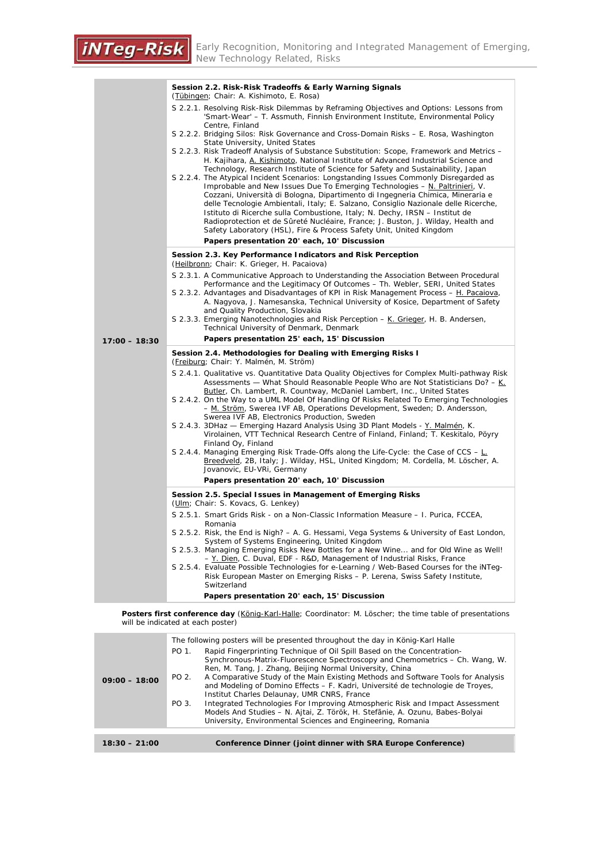|                 | Session 2.2. Risk-Risk Tradeoffs & Early Warning Signals<br>(Tübingen; Chair: A. Kishimoto, E. Rosa)                                                                                                                                                                                                                                                                                                                                                                                                                                                                                                   |  |  |
|-----------------|--------------------------------------------------------------------------------------------------------------------------------------------------------------------------------------------------------------------------------------------------------------------------------------------------------------------------------------------------------------------------------------------------------------------------------------------------------------------------------------------------------------------------------------------------------------------------------------------------------|--|--|
|                 | S 2.2.1. Resolving Risk-Risk Dilemmas by Reframing Objectives and Options: Lessons from<br>'Smart-Wear' - T. Assmuth, Finnish Environment Institute, Environmental Policy<br>Centre, Finland                                                                                                                                                                                                                                                                                                                                                                                                           |  |  |
|                 | S 2.2.2. Bridging Silos: Risk Governance and Cross-Domain Risks - E. Rosa, Washington<br>State University, United States                                                                                                                                                                                                                                                                                                                                                                                                                                                                               |  |  |
|                 | S 2.2.3. Risk Tradeoff Analysis of Substance Substitution: Scope, Framework and Metrics -<br>H. Kajihara, A. Kishimoto, National Institute of Advanced Industrial Science and<br>Technology, Research Institute of Science for Safety and Sustainability, Japan                                                                                                                                                                                                                                                                                                                                        |  |  |
|                 | S 2.2.4. The Atypical Incident Scenarios: Longstanding Issues Commonly Disregarded as<br>Improbable and New Issues Due To Emerging Technologies $-\underline{N}$ . Paltrinieri, V.<br>Cozzani, Università di Bologna, Dipartimento di Ingegneria Chimica, Mineraria e<br>delle Tecnologie Ambientali, Italy; E. Salzano, Consiglio Nazionale delle Ricerche,<br>Istituto di Ricerche sulla Combustione, Italy; N. Dechy, IRSN - Institut de<br>Radioprotection et de Sûreté Nucléaire, France; J. Buston, J. Wilday, Health and<br>Safety Laboratory (HSL), Fire & Process Safety Unit, United Kingdom |  |  |
|                 | Papers presentation 20' each, 10' Discussion                                                                                                                                                                                                                                                                                                                                                                                                                                                                                                                                                           |  |  |
|                 | Session 2.3. Key Performance Indicators and Risk Perception<br>(Heilbronn; Chair: K. Grieger, H. Pacaiova)                                                                                                                                                                                                                                                                                                                                                                                                                                                                                             |  |  |
|                 | S 2.3.1. A Communicative Approach to Understanding the Association Between Procedural<br>Performance and the Legitimacy Of Outcomes - Th. Webler, SERI, United States                                                                                                                                                                                                                                                                                                                                                                                                                                  |  |  |
|                 | S 2.3.2. Advantages and Disadvantages of KPI in Risk Management Process - H. Pacaiova,<br>A. Nagyova, J. Namesanska, Technical University of Kosice, Department of Safety<br>and Quality Production, Slovakia                                                                                                                                                                                                                                                                                                                                                                                          |  |  |
|                 | S 2.3.3. Emerging Nanotechnologies and Risk Perception - K. Grieger, H. B. Andersen,<br>Technical University of Denmark, Denmark                                                                                                                                                                                                                                                                                                                                                                                                                                                                       |  |  |
| $17:00 - 18:30$ | Papers presentation 25' each, 15' Discussion                                                                                                                                                                                                                                                                                                                                                                                                                                                                                                                                                           |  |  |
|                 | Session 2.4. Methodologies for Dealing with Emerging Risks I<br>(Freiburg; Chair: Y. Malmén, M. Ström)                                                                                                                                                                                                                                                                                                                                                                                                                                                                                                 |  |  |
|                 | S 2.4.1. Qualitative vs. Quantitative Data Quality Objectives for Complex Multi-pathway Risk<br>Assessments - What Should Reasonable People Who are Not Statisticians Do? - K.<br>Butler, Ch. Lambert, R. Countway, McDaniel Lambert, Inc., United States                                                                                                                                                                                                                                                                                                                                              |  |  |
|                 | S 2.4.2. On the Way to a UML Model Of Handling Of Risks Related To Emerging Technologies<br>- M. Ström, Swerea IVF AB, Operations Development, Sweden; D. Andersson,<br>Swerea IVF AB, Electronics Production, Sweden                                                                                                                                                                                                                                                                                                                                                                                  |  |  |
|                 | S 2.4.3. 3DHaz - Emerging Hazard Analysis Using 3D Plant Models - Y. Malmén, K.<br>Virolainen, VTT Technical Research Centre of Finland, Finland; T. Keskitalo, Pöyry                                                                                                                                                                                                                                                                                                                                                                                                                                  |  |  |
|                 | Finland Oy, Finland<br>S 2.4.4. Managing Emerging Risk Trade-Offs along the Life-Cycle: the Case of CCS – L.<br>Breedveld, 2B, Italy; J. Wilday, HSL, United Kingdom; M. Cordella, M. Löscher, A.<br>Jovanovic, EU-VRi, Germany                                                                                                                                                                                                                                                                                                                                                                        |  |  |
|                 | Papers presentation 20' each, 10' Discussion                                                                                                                                                                                                                                                                                                                                                                                                                                                                                                                                                           |  |  |
|                 | Session 2.5. Special Issues in Management of Emerging Risks<br>(Ulm; Chair: S. Kovacs, G. Lenkey)                                                                                                                                                                                                                                                                                                                                                                                                                                                                                                      |  |  |
|                 | S 2.5.1. Smart Grids Risk - on a Non-Classic Information Measure - I. Purica, FCCEA,<br>Romania                                                                                                                                                                                                                                                                                                                                                                                                                                                                                                        |  |  |
|                 | S 2.5.2. Risk, the End is Nigh? – A. G. Hessami, Vega Systems & University of East London,<br>System of Systems Engineering, United Kingdom                                                                                                                                                                                                                                                                                                                                                                                                                                                            |  |  |
|                 | S 2.5.3. Managing Emerging Risks New Bottles for a New Wine and for Old Wine as Well!<br>- Y. Dien, C. Duval, EDF - R&D, Management of Industrial Risks, France                                                                                                                                                                                                                                                                                                                                                                                                                                        |  |  |
|                 | S 2.5.4. Evaluate Possible Technologies for e-Learning / Web-Based Courses for the iNTeq-<br>Risk European Master on Emerging Risks - P. Lerena, Swiss Safety Institute,<br>Switzerland                                                                                                                                                                                                                                                                                                                                                                                                                |  |  |
|                 | Papers presentation 20' each, 15' Discussion                                                                                                                                                                                                                                                                                                                                                                                                                                                                                                                                                           |  |  |

**Posters first conference day** (König-Karl-Halle; Coordinator: M. Löscher; the time table of presentations will be indicated at each poster)

| $09:00 - 18:00$ | The following posters will be presented throughout the day in König-Karl Halle<br>Rapid Fingerprinting Technique of Oil Spill Based on the Concentration-<br>PO 1.<br>Synchronous-Matrix-Fluorescence Spectroscopy and Chemometrics – Ch. Wang, W.<br>Ren, M. Tang, J. Zhang, Beijing Normal University, China<br>A Comparative Study of the Main Existing Methods and Software Tools for Analysis<br>PO 2.<br>and Modeling of Domino Effects – F. Kadri, Université de technologie de Troyes,<br>Institut Charles Delaunay, UMR CNRS, France<br>Integrated Technologies For Improving Atmospheric Risk and Impact Assessment<br>PO 3.<br>Models And Studies - N. Ajtai, Z. Török, H. Stefänie, A. Ozunu, Babes-Bolyai<br>University, Environmental Sciences and Engineering, Romania |
|-----------------|---------------------------------------------------------------------------------------------------------------------------------------------------------------------------------------------------------------------------------------------------------------------------------------------------------------------------------------------------------------------------------------------------------------------------------------------------------------------------------------------------------------------------------------------------------------------------------------------------------------------------------------------------------------------------------------------------------------------------------------------------------------------------------------|
|                 |                                                                                                                                                                                                                                                                                                                                                                                                                                                                                                                                                                                                                                                                                                                                                                                       |
| $18:30 - 21:00$ | Conference Dinner (joint dinner with SRA Europe Conference)                                                                                                                                                                                                                                                                                                                                                                                                                                                                                                                                                                                                                                                                                                                           |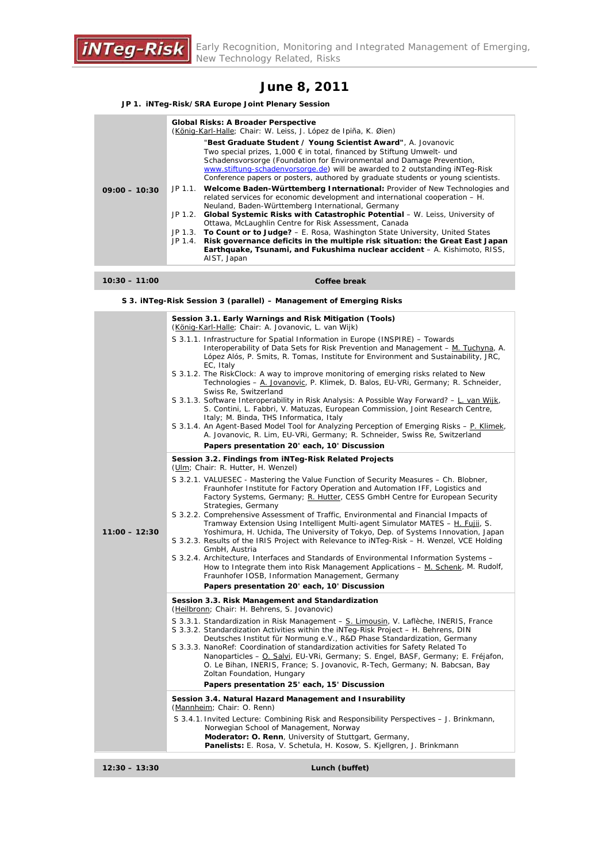

## **June 8, 2011**

#### **JP 1. iNTeg-Risk/SRA Europe Joint Plenary Session**

|                 | <b>Global Risks: A Broader Perspective</b><br>(König-Karl-Halle; Chair: W. Leiss, J. López de Ipiña, K. Øien)                                                                                                                                                                                                                                                                                 |
|-----------------|-----------------------------------------------------------------------------------------------------------------------------------------------------------------------------------------------------------------------------------------------------------------------------------------------------------------------------------------------------------------------------------------------|
|                 | "Best Graduate Student / Young Scientist Award", A. Jovanovic<br>Two special prizes, 1,000 $\epsilon$ in total, financed by Stiftung Umwelt- und<br>Schadensvorsorge (Foundation for Environmental and Damage Prevention,<br>www.stiftung-schadenvorsorge.de) will be awarded to 2 outstanding iNTeg-Risk<br>Conference papers or posters, authored by graduate students or young scientists. |
| $09:00 - 10:30$ | JP 1.1. Welcome Baden-Württemberg International: Provider of New Technologies and<br>related services for economic development and international cooperation – H.<br>Neuland, Baden-Württemberg International, Germany<br>JP 1.2. Global Systemic Risks with Catastrophic Potential - W. Leiss, University of                                                                                 |
|                 | Ottawa, McLaughlin Centre for Risk Assessment, Canada                                                                                                                                                                                                                                                                                                                                         |
|                 | JP 1.3. To Count or to Judge? $-$ E. Rosa, Washington State University, United States<br>JP 1.4. Risk governance deficits in the multiple risk situation: the Great East Japan                                                                                                                                                                                                                |
|                 | Earthquake, Tsunami, and Fukushima nuclear accident - A. Kishimoto, RISS,<br>AIST, Japan                                                                                                                                                                                                                                                                                                      |

#### **10:30 – 11:00 Coffee break**

**S 3. iNTeg-Risk Session 3 (parallel) – Management of Emerging Risks** 

| S 3.1.1. Infrastructure for Spatial Information in Europe (INSPIRE) – Towards<br>Interoperability of Data Sets for Risk Prevention and Management - M. Tuchyna, A.<br>López Alós, P. Smits, R. Tomas, Institute for Environment and Sustainability, JRC,<br>EC, Italy<br>S 3.1.2. The RiskClock: A way to improve monitoring of emerging risks related to New<br>Technologies - A. Jovanovic, P. Klimek, D. Balos, EU-VRi, Germany; R. Schneider,<br>Swiss Re. Switzerland<br>S 3.1.3. Software Interoperability in Risk Analysis: A Possible Way Forward? - L. van Wijk, |  |
|---------------------------------------------------------------------------------------------------------------------------------------------------------------------------------------------------------------------------------------------------------------------------------------------------------------------------------------------------------------------------------------------------------------------------------------------------------------------------------------------------------------------------------------------------------------------------|--|
|                                                                                                                                                                                                                                                                                                                                                                                                                                                                                                                                                                           |  |
|                                                                                                                                                                                                                                                                                                                                                                                                                                                                                                                                                                           |  |
| S. Contini, L. Fabbri, V. Matuzas, European Commission, Joint Research Centre,<br>Italy; M. Binda, THS Informatica, Italy<br>S 3.1.4. An Agent-Based Model Tool for Analyzing Perception of Emerging Risks - P. Klimek,                                                                                                                                                                                                                                                                                                                                                   |  |
| A. Jovanovic, R. Lim, EU-VRi, Germany; R. Schneider, Swiss Re, Switzerland<br>Papers presentation 20' each, 10' Discussion                                                                                                                                                                                                                                                                                                                                                                                                                                                |  |
| Session 3.2. Findings from iNTeg-Risk Related Projects                                                                                                                                                                                                                                                                                                                                                                                                                                                                                                                    |  |
| (Ulm; Chair: R. Hutter, H. Wenzel)                                                                                                                                                                                                                                                                                                                                                                                                                                                                                                                                        |  |
| S 3.2.1. VALUESEC - Mastering the Value Function of Security Measures - Ch. Blobner,<br>Fraunhofer Institute for Factory Operation and Automation IFF, Logistics and<br>Factory Systems, Germany; R. Hutter, CESS GmbH Centre for European Security<br>Strategies, Germany                                                                                                                                                                                                                                                                                                |  |
| S 3.2.2. Comprehensive Assessment of Traffic, Environmental and Financial Impacts of<br>Tramway Extension Using Intelligent Multi-agent Simulator MATES - H. Fujii, S.<br>$11:00 - 12:30$<br>Yoshimura, H. Uchida, The University of Tokyo, Dep. of Systems Innovation, Japan                                                                                                                                                                                                                                                                                             |  |
| S 3.2.3. Results of the IRIS Project with Relevance to iNTeg-Risk – H. Wenzel, VCE Holding<br>GmbH, Austria                                                                                                                                                                                                                                                                                                                                                                                                                                                               |  |
| S 3.2.4. Architecture, Interfaces and Standards of Environmental Information Systems -<br>How to Integrate them into Risk Management Applications – M. Schenk, M. Rudolf,<br>Fraunhofer IOSB, Information Management, Germany                                                                                                                                                                                                                                                                                                                                             |  |
| Papers presentation 20' each, 10' Discussion                                                                                                                                                                                                                                                                                                                                                                                                                                                                                                                              |  |
| Session 3.3. Risk Management and Standardization<br>(Heilbronn; Chair: H. Behrens, S. Jovanovic)                                                                                                                                                                                                                                                                                                                                                                                                                                                                          |  |
| S 3.3.1. Standardization in Risk Management - S. Limousin, V. Laflèche, INERIS, France<br>S 3.3.2. Standardization Activities within the iNTeg-Risk Project – H. Behrens, DIN<br>Deutsches Institut für Normung e.V., R&D Phase Standardization, Germany                                                                                                                                                                                                                                                                                                                  |  |
| S 3.3.3. NanoRef: Coordination of standardization activities for Safety Related To<br>Nanoparticles - O. Salvi, EU-VRi, Germany; S. Engel, BASF, Germany; E. Fréjafon,                                                                                                                                                                                                                                                                                                                                                                                                    |  |
| O. Le Bihan, INERIS, France; S. Jovanovic, R-Tech, Germany; N. Babcsan, Bay<br>Zoltan Foundation, Hungary                                                                                                                                                                                                                                                                                                                                                                                                                                                                 |  |
| Papers presentation 25' each, 15' Discussion                                                                                                                                                                                                                                                                                                                                                                                                                                                                                                                              |  |
| Session 3.4. Natural Hazard Management and Insurability<br>(Mannheim; Chair: O. Renn)                                                                                                                                                                                                                                                                                                                                                                                                                                                                                     |  |
| S 3.4.1. Invited Lecture: Combining Risk and Responsibility Perspectives – J. Brinkmann,<br>Norwegian School of Management, Norway<br>Moderator: O. Renn, University of Stuttgart, Germany,<br>Panelists: E. Rosa, V. Schetula, H. Kosow, S. Kjellgren, J. Brinkmann                                                                                                                                                                                                                                                                                                      |  |
| $12:30 - 13:30$<br>Lunch (buffet)                                                                                                                                                                                                                                                                                                                                                                                                                                                                                                                                         |  |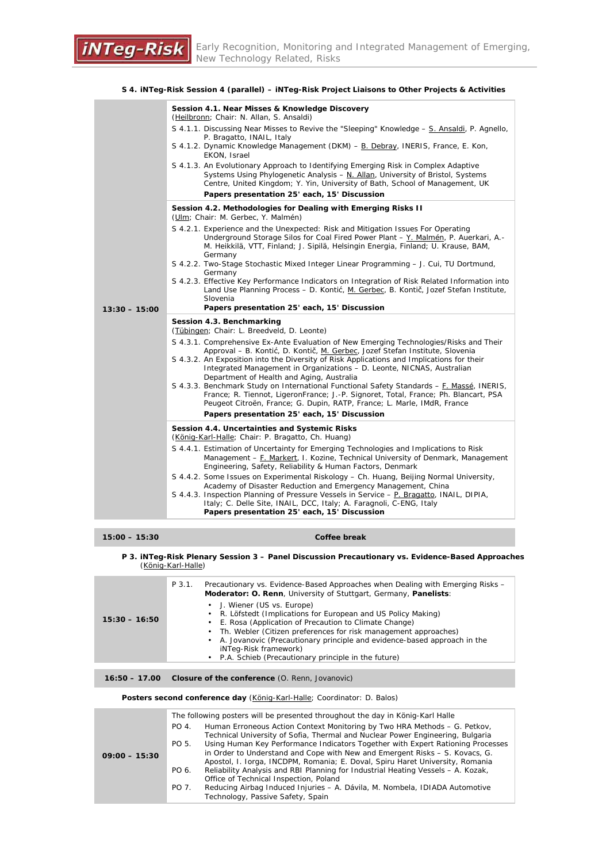|                                              | Session 4.1. Near Misses & Knowledge Discovery<br>(Heilbronn; Chair: N. Allan, S. Ansaldi)                                                                                                                                                                                       |  |  |
|----------------------------------------------|----------------------------------------------------------------------------------------------------------------------------------------------------------------------------------------------------------------------------------------------------------------------------------|--|--|
|                                              | S 4.1.1. Discussing Near Misses to Revive the "Sleeping" Knowledge - S. Ansaldi, P. Agnello,<br>P. Bragatto, INAIL, Italy                                                                                                                                                        |  |  |
|                                              | S 4.1.2. Dynamic Knowledge Management (DKM) - B. Debray, INERIS, France, E. Kon,<br>EKON, Israel                                                                                                                                                                                 |  |  |
|                                              | S 4.1.3. An Evolutionary Approach to Identifying Emerging Risk in Complex Adaptive<br>Systems Using Phylogenetic Analysis $-$ N. Allan, University of Bristol, Systems<br>Centre, United Kingdom; Y. Yin, University of Bath, School of Management, UK                           |  |  |
| Papers presentation 25' each, 15' Discussion |                                                                                                                                                                                                                                                                                  |  |  |
|                                              | Session 4.2. Methodologies for Dealing with Emerging Risks II<br>(Ulm; Chair: M. Gerbec, Y. Malmén)                                                                                                                                                                              |  |  |
|                                              | S 4.2.1. Experience and the Unexpected: Risk and Mitigation Issues For Operating<br>Underground Storage Silos for Coal Fired Power Plant - Y. Malmén, P. Auerkari, A.-<br>M. Heikkilä, VTT, Finland; J. Sipilä, Helsingin Energia, Finland; U. Krause, BAM,<br>Germany           |  |  |
|                                              | S 4.2.2. Two-Stage Stochastic Mixed Integer Linear Programming - J. Cui, TU Dortmund,<br>Germany                                                                                                                                                                                 |  |  |
|                                              | S 4.2.3. Effective Key Performance Indicators on Integration of Risk Related Information into<br>Land Use Planning Process - D. Kontić, M. Gerbec, B. Kontič, Jozef Stefan Institute,<br>Slovenia                                                                                |  |  |
| $13:30 - 15:00$                              | Papers presentation 25' each, 15' Discussion                                                                                                                                                                                                                                     |  |  |
|                                              |                                                                                                                                                                                                                                                                                  |  |  |
|                                              | Session 4.3. Benchmarking<br>(Tübingen; Chair: L. Breedveld, D. Leonte)                                                                                                                                                                                                          |  |  |
|                                              | S 4.3.1. Comprehensive Ex-Ante Evaluation of New Emerging Technologies/Risks and Their                                                                                                                                                                                           |  |  |
|                                              | Approval – B. Kontić, D. Kontič, M. Gerbec, Jozef Stefan Institute, Slovenia<br>S 4.3.2. An Exposition into the Diversity of Risk Applications and Implications for their<br>Integrated Management in Organizations - D. Leonte, NICNAS, Australian                              |  |  |
|                                              | Department of Health and Aging, Australia<br>S 4.3.3. Benchmark Study on International Functional Safety Standards - F. Massé, INERIS,<br>France; R. Tiennot, LigeronFrance; J.-P. Signoret, Total, France; Ph. Blancart, PSA                                                    |  |  |
|                                              | Peugeot Citroën, France; G. Dupin, RATP, France; L. Marle, IMdR, France<br>Papers presentation 25' each, 15' Discussion                                                                                                                                                          |  |  |
|                                              | Session 4.4. Uncertainties and Systemic Risks<br>(König-Karl-Halle; Chair: P. Bragatto, Ch. Huang)                                                                                                                                                                               |  |  |
|                                              | S 4.4.1. Estimation of Uncertainty for Emerging Technologies and Implications to Risk<br>Management – F. Markert, I. Kozine, Technical University of Denmark, Management<br>Engineering, Safety, Reliability & Human Factors, Denmark                                            |  |  |
|                                              | S 4.4.2. Some Issues on Experimental Riskology – Ch. Huang, Beijing Normal University,                                                                                                                                                                                           |  |  |
|                                              | Academy of Disaster Reduction and Emergency Management, China<br>S 4.4.3. Inspection Planning of Pressure Vessels in Service – P. Bragatto, INAIL, DIPIA,<br>Italy; C. Delle Site, INAIL, DCC, Italy; A. Faragnoli, C-ENG, Italy<br>Papers presentation 25' each, 15' Discussion |  |  |

#### **S 4. iNTeg-Risk Session 4 (parallel) – iNTeg-Risk Project Liaisons to Other Projects & Activities**

#### **15:00 – 15:30 Coffee break**

#### **P 3. iNTeg-Risk Plenary Session 3 – Panel Discussion Precautionary vs. Evidence-Based Approaches** (König-Karl-Halle)

|                 | P 3.1. | Precautionary vs. Evidence-Based Approaches when Dealing with Emerging Risks -<br>Moderator: O. Renn, University of Stuttgart, Germany, Panelists:                                                                                                                                                                                                                                        |
|-----------------|--------|-------------------------------------------------------------------------------------------------------------------------------------------------------------------------------------------------------------------------------------------------------------------------------------------------------------------------------------------------------------------------------------------|
| $15:30 - 16:50$ |        | • J. Wiener (US vs. Europe)<br>• R. Löfstedt (Implications for European and US Policy Making)<br>E. Rosa (Application of Precaution to Climate Change)<br>Th. Webler (Citizen preferences for risk management approaches)<br>• A. Jovanovic (Precautionary principle and evidence-based approach in the<br>iNTeg-Risk framework)<br>• P.A. Schieb (Precautionary principle in the future) |
|                 |        |                                                                                                                                                                                                                                                                                                                                                                                           |

#### **16:50 – 17.00 Closure of the conference** (O. Renn, Jovanovic)

Posters second conference day (König-Karl-Halle; Coordinator: D. Balos)

| $09:00 - 15:30$ | PO 4.<br>PO 5. | The following posters will be presented throughout the day in König-Karl Halle<br>Human Erroneous Action Context Monitoring by Two HRA Methods - G. Petkov,<br>Technical University of Sofia, Thermal and Nuclear Power Engineering, Bulgaria<br>Using Human Key Performance Indicators Together with Expert Rationing Processes                                          |
|-----------------|----------------|---------------------------------------------------------------------------------------------------------------------------------------------------------------------------------------------------------------------------------------------------------------------------------------------------------------------------------------------------------------------------|
|                 | PO 6.<br>PO 7. | in Order to Understand and Cope with New and Emergent Risks – S. Kovacs, G.<br>Apostol, I. Iorga, INCDPM, Romania; E. Doval, Spiru Haret University, Romania<br>Reliability Analysis and RBI Planning for Industrial Heating Vessels - A. Kozak,<br>Office of Technical Inspection, Poland<br>Reducing Airbag Induced Injuries - A. Dávila, M. Nombela, IDIADA Automotive |
|                 |                | Technology, Passive Safety, Spain                                                                                                                                                                                                                                                                                                                                         |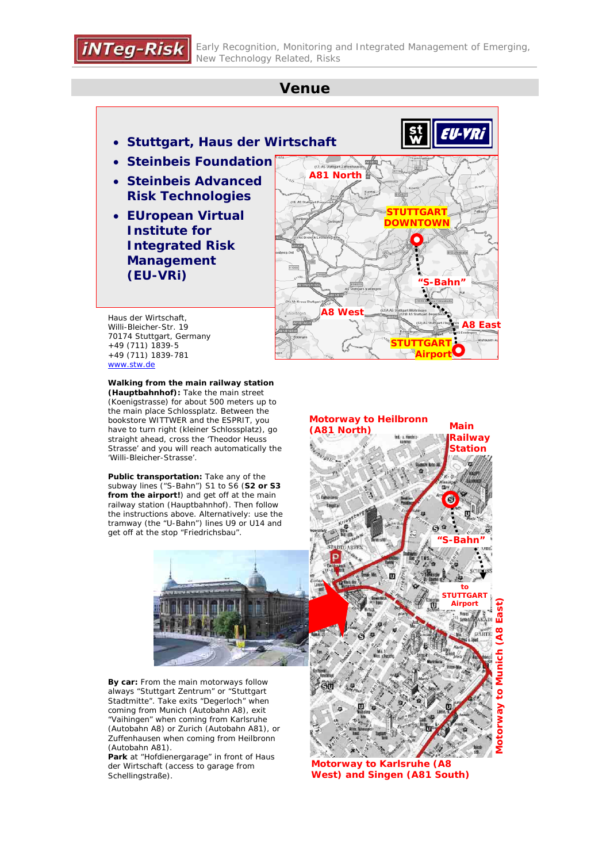## **Venue**

- **Stuttgart, Haus der Wirtschaft**
- **Steinbeis Foundation**
- **Steinbeis Advanced Risk Technologies**
- **EUropean Virtual Institute for Integrated Risk Management (EU-VRi)**



Haus der Wirtschaft, Willi-Bleicher-Str. 19 70174 Stuttgart, Germany +49 (711) 1839-5 +49 (711) 1839-781 www.stw.de

**Walking from the main railway station (Hauptbahnhof):** Take the main street (Koenigstrasse) for about 500 meters up to the main place Schlossplatz. Between the bookstore WITTWER and the ESPRIT, you have to turn right (kleiner Schlossplatz), go straight ahead, cross the 'Theodor Heuss Strasse' and you will reach automatically the 'Willi-Bleicher-Strasse'.

**Public transportation:** Take any of the subway lines ("S-Bahn") S1 to S6 (**S2 or S3 from the airport!**) and get off at the main railway station (Hauptbahnhof). Then follow the instructions above. Alternatively: use the tramway (the "U-Bahn") lines U9 or U14 and get off at the stop "Friedrichsbau".



**By car:** From the main motorways follow always "Stuttgart Zentrum" or "Stuttgart Stadtmitte". Take exits "Degerloch" when coming from Munich (Autobahn A8), exit "Vaihingen" when coming from Karlsruhe (Autobahn A8) or Zurich (Autobahn A81), or Zuffenhausen when coming from Heilbronn (Autobahn A81).

**Park** at "Hofdienergarage" in front of Haus der Wirtschaft (access to garage from Schellingstraße).



**Motorway to Karlsruhe (A8 West) and Singen (A81 South)**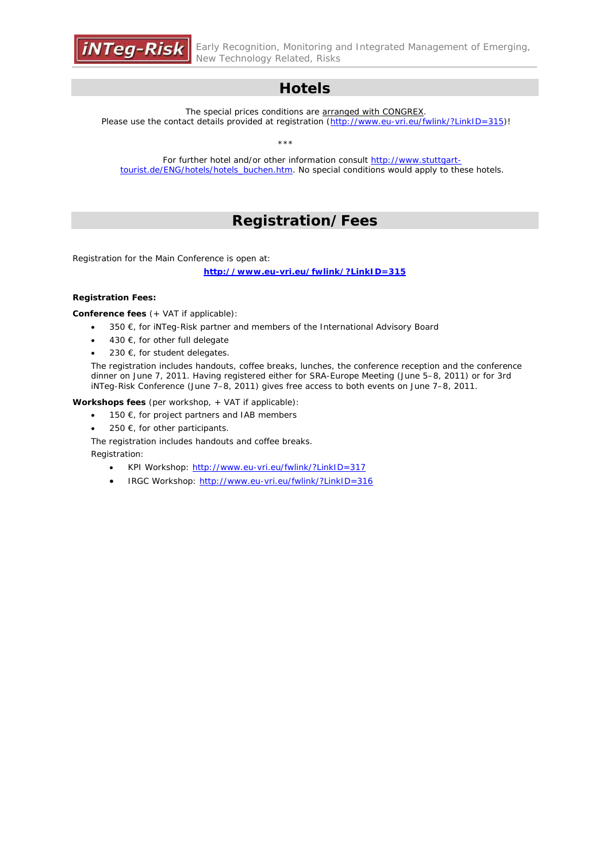

Early Recognition, Monitoring and Integrated Management of Emerging, New Technology Related, Risks

## **Hotels**

The special prices conditions are arranged with CONGREX. Please use the contact details provided at registration (http://www.eu-vri.eu/fwlink/?LinkID=315)!

\*\*\*

For further hotel and/or other information consult http://www.stuttgarttourist.de/ENG/hotels/hotels\_buchen.htm. No special conditions would apply to these hotels.

## **Registration/Fees**

Registration for the Main Conference is open at:

**http://www.eu-vri.eu/fwlink/?LinkID=315**

#### **Registration Fees:**

**Conference fees** (+ VAT if applicable):

- $\bullet$  350  $\epsilon$ , for iNTeg-Risk partner and members of the International Advisory Board
- $\bullet$  430 €, for other full delegate
- $•$  230 €, for student delegates.

The registration includes handouts, coffee breaks, lunches, the conference reception and the conference dinner on June 7, 2011. Having registered either for SRA-Europe Meeting (June 5–8, 2011) or for 3rd iNTeg-Risk Conference (June 7–8, 2011) gives free access to both events on June 7–8, 2011.

**Workshops fees** (per workshop, + VAT if applicable):

- 150  $\epsilon$ , for project partners and IAB members
- 250  $\epsilon$ , for other participants.

The registration includes handouts and coffee breaks.

Registration:

- KPI Workshop: http://www.eu-vri.eu/fwlink/?LinkID=317
- IRGC Workshop: http://www.eu-vri.eu/fwlink/?LinkID=316